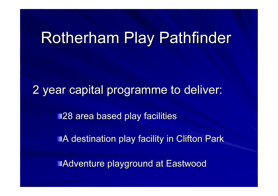# Rotherham Play Pathfinder

2 year capital programme to deliver:

**128 area based play facilities** 

**A destination play facility in Clifton Park** 

Adventure playground at Eastwood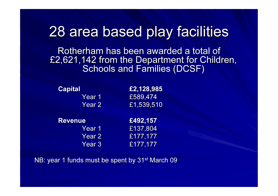## 28 area based play facilities

Rotherham has been awarded a total of £2,621,142 from the Department for Children, Schools and Families (DCSF)

| <b>Capital</b> | £2,128,985              |
|----------------|-------------------------|
| Year 1         | £589,474                |
| Year 2         | $\overline{£}1,539,510$ |
|                |                         |
| <b>Revenue</b> | £492,157                |
| Year 1         | £137,804                |
| <b>Year 2</b>  | £177, 177               |

NB: year 1 funds must be spent by 31<sup>st</sup> March 09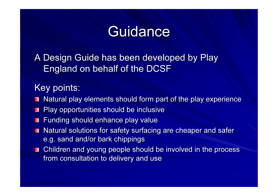# **Guidance**

A Design Guide has been developed by Play England on behalf of the DCSF

#### Key points:

- Natural play elements should form part of the play experience
- Play opportunities should be inclusive **TILL**
- Funding should enhance play value
- Natural solutions for safety surfacing are cheaper and safer П e.g. sand and/or bark chippings
- Children and young people should be involved in the process from consultation to delivery and use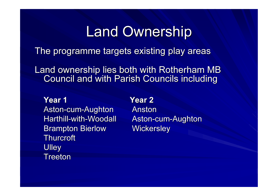### Land Ownership

The programme targets existing play areas

Land ownership lies both with Rotherham MB Council and with Parish Councils including

Year 1 Year 2 Aston-cum-Aughton Anston Harthill-with-Woodall Aston-cum-Aughton Brampton Bierlow Wickersley **Thurcroft Ulley Treeton**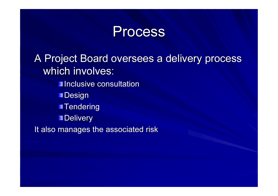#### **Process**

A Project Board oversees a delivery process which involves: **Inclusive consultation** 

**Design** 

**Tendering** 

**Delivery** 

It also manages the associated risk